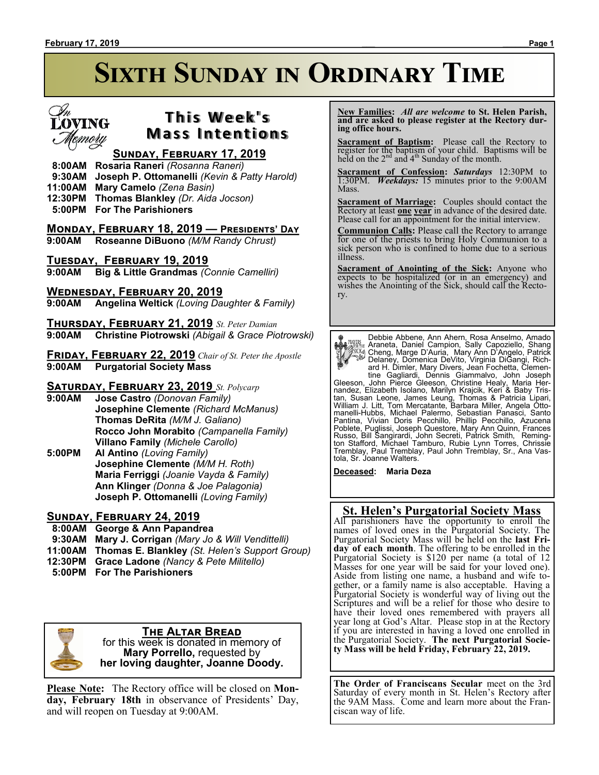

# **T h i s We e k ' s Mass Intentions**

## **Sunday, February 17, 2019**

- **8:00AM Rosaria Raneri** *(Rosanna Raneri)*
- **9:30AM Joseph P. Ottomanelli** *(Kevin & Patty Harold)*
- **11:00AM Mary Camelo** *(Zena Basin)*
- **12:30PM Thomas Blankley** *(Dr. Aida Jocson)*
- **5:00PM For The Parishioners**

## **Monday, February 18, 2019 — Presidents' Day**

**9:00AM Roseanne DiBuono** *(M/M Randy Chrust)*

## **Tuesday, February 19, 2019**

**9:00AM Big & Little Grandmas** *(Connie Camelliri)*

## **Wednesday, February 20, 2019**

**9:00AM Angelina Weltick** *(Loving Daughter & Family)*

**Thursday, February 21, 2019** *St. Peter Damian* **9:00AM Christine Piotrowski** *(Abigail & Grace Piotrowski)*

**Friday, February 22, 2019** *Chair of St. Peter the Apostle* **9:00AM Purgatorial Society Mass**

## **Saturday, February 23, 2019** *St. Polycarp*

- **9:00AM Jose Castro** *(Donovan Family)* **Josephine Clemente** *(Richard McManus)* **Thomas DeRita** *(M/M J. Galiano)* **Rocco John Morabito** *(Campanella Family)* **Villano Family** *(Michele Carollo)*
- **5:00PM Al Antino** *(Loving Family)* **Josephine Clemente** *(M/M H. Roth)* **Maria Ferriggi** *(Joanie Vayda & Family)* **Ann Klinger** *(Donna & Joe Palagonia)* **Joseph P. Ottomanelli** *(Loving Family)*

## **Sunday, February 24, 2019**

## **8:00AM George & Ann Papandrea**

- **9:30AM Mary J. Corrigan** *(Mary Jo & Will Vendittelli)*
- **11:00AM Thomas E. Blankley** *(St. Helen's Support Group)*
- **12:30PM Grace Ladone** *(Nancy & Pete Militello)*
- **5:00PM For The Parishioners**



### **The Altar Bread** for this week is donated in memory of **Mary Porrello,** requested by

**her loving daughter, Joanne Doody.**

**Please Note:** The Rectory office will be closed on **Monday, February 18th** in observance of Presidents' Day, and will reopen on Tuesday at 9:00AM.

 **New Families:** *All are welcome* **to St. Helen Parish, and are asked to please register at the Rectory during office hours.**

**Sacrament of Baptism:** Please call the Rectory to register for the baptism of your child. Baptisms will be held on the  $2<sup>nd</sup>$  and  $4<sup>th</sup>$  Sunday of the month.

**Sacrament of Confession:** *Saturdays* 12:30PM to 1:30PM. *Weekdays:* 15 minutes prior to the 9:00AM Mass.

**Sacrament of Marriage:**Couples should contact the Rectory at least **one year** in advance of the desired date. Please call for an appointment for the initial interview.

**Communion Calls:** Please call the Rectory to arrange for one of the priests to bring Holy Communion to a sick person who is confined to home due to a serious illness.

**Sacrament of Anointing of the Sick:** Anyone who expects to be hospitalized (or in an emergency) and wishes the Anointing of the Sick, should call the Rectory.

Debbie Abbene, Ann Ahern, Rosa Anselmo, Amado Araneta, Daniel Campion, Sally Capoziello, Shang<br>
(Alica, Marge D'Auria, Mary Ann D'Angelo, Patrick<br>
Delaney, Domenica DeVito, Virginia DiGangi, Rich-<br>
and H. Dimler, Mary Divers, Jean Fochetta, Clemen-<br>
tine Gagliardi, De

Russo, Bill Šangirardi, John Secreti, Patrick Smith, Reming-<br>ton Stafford, Michael Tamburo, Rubie Lynn Torres, Chrissie<br>Tremblay, Paul Tremblay, Paul John Tremblay, Sr., Ana Vastola, Sr. Joanne Walters.

**Deceased: Maria Deza**

## **St. Helen's Purgatorial Society Mass**

All parishioners have the opportunity to enroll the names of loved ones in the Purgatorial Society. The Purgatorial Society Mass will be held on the **last Friday of each month**. The offering to be enrolled in the Purgatorial Society is \$120 per name (a total of 12 Masses for one year will be said for your loved one). Aside from listing one name, a husband and wife together, or a family name is also acceptable. Having a Purgatorial Society is wonderful way of living out the Scriptures and will be a relief for those who desire to have their loved ones remembered with prayers all year long at God's Altar. Please stop in at the Rectory if you are interested in having a loved one enrolled in the Purgatorial Society. **The next Purgatorial Society Mass will be held Friday, February 22, 2019.**

**The Order of Franciscans Secular** meet on the 3rd Saturday of every month in St. Helen's Rectory after the 9AM Mass. Come and learn more about the Franciscan way of life.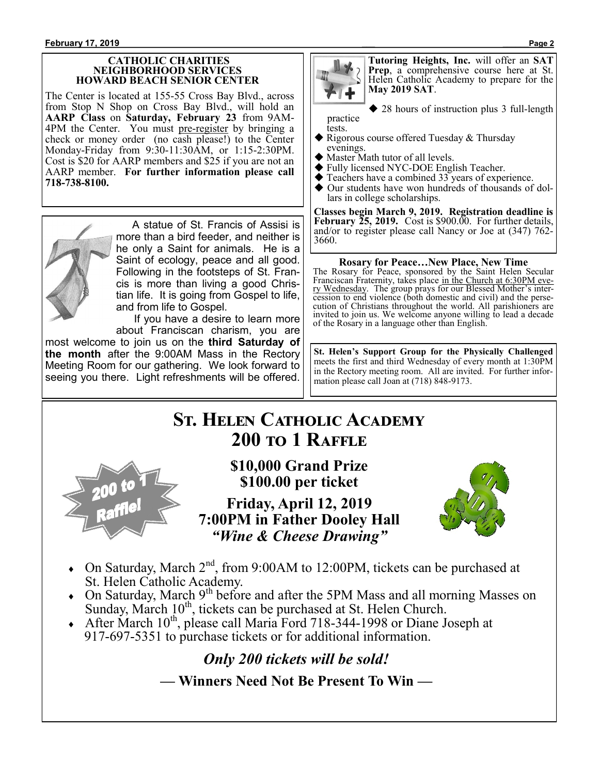### **CATHOLIC CHARITIES NEIGHBORHOOD SERVICES HOWARD BEACH SENIOR CENTER**

The Center is located at 155-55 Cross Bay Blvd., across from Stop N Shop on Cross Bay Blvd., will hold an **AARP Class** on **Saturday, February 23** from 9AM-4PM the Center. You must pre-register by bringing a check or money order (no cash please!) to the Center Monday-Friday from 9:30-11:30AM, or 1:15-2:30PM. Cost is \$20 for AARP members and \$25 if you are not an AARP member. **For further information please call 718-738-8100.**



 A statue of St. Francis of Assisi is more than a bird feeder, and neither is he only a Saint for animals. He is a Saint of ecology, peace and all good. Following in the footsteps of St. Francis is more than living a good Christian life. It is going from Gospel to life, and from life to Gospel.

 If you have a desire to learn more about Franciscan charism, you are

most welcome to join us on the **third Saturday of the month** after the 9:00AM Mass in the Rectory Meeting Room for our gathering. We look forward to seeing you there. Light refreshments will be offered.



**Tutoring Heights, Inc.** will offer an **SAT Prep**, a comprehensive course here at St. Helen Catholic Academy to prepare for the **May 2019 SAT**.

◆ 28 hours of instruction plus 3 full-length

practice tests.

- Rigorous course offered Tuesday & Thursday evenings.
- Master Math tutor of all levels.
- Fully licensed NYC-DOE English Teacher.
- $\blacklozenge$  Teachers have a combined 33 years of experience.<br> $\blacklozenge$  Our students have won hundreds of thousands of
- Our students have won hundreds of thousands of dollars in college scholarships.

**Classes begin March 9, 2019. Registration deadline is February 25, 2019.** Cost is \$900.00. For further details, and/or to register please call Nancy or Joe at (347) 762- 3660.

## **Rosary for Peace…New Place, New Time**

The Rosary for Peace, sponsored by the Saint Helen Secular Franciscan Fraternity, takes place in the Church at 6:30PM every Wednesday. The group prays for our Blessed Mother's intercession to end violence (both domestic and civil) and the persecution of Christians throughout the world. All parishioners are invited to join us. We welcome anyone willing to lead a decade of the Rosary in a language other than English.

**St. Helen's Support Group for the Physically Challenged**  meets the first and third Wednesday of every month at 1:30PM in the Rectory meeting room. All are invited. For further information please call Joan at (718) 848-9173.

# **St. Helen Catholic Academy 200 to 1 Raffle**



**\$10,000 Grand Prize \$100.00 per ticket**

**Friday, April 12, 2019 7:00PM in Father Dooley Hall** *"Wine & Cheese Drawing"*



- On Saturday, March 2<sup>nd</sup>, from 9:00AM to 12:00PM, tickets can be purchased at St. Helen Catholic Academy.
- $\bullet$  On Saturday, March 9<sup>th</sup> before and after the 5PM Mass and all morning Masses on Sunday, March 10<sup>th</sup>, tickets can be purchased at St. Helen Church.
- $\triangle$  After March 10<sup>th</sup>, please call Maria Ford 718-344-1998 or Diane Joseph at 917-697-5351 to purchase tickets or for additional information.

*Only 200 tickets will be sold!* **— Winners Need Not Be Present To Win —**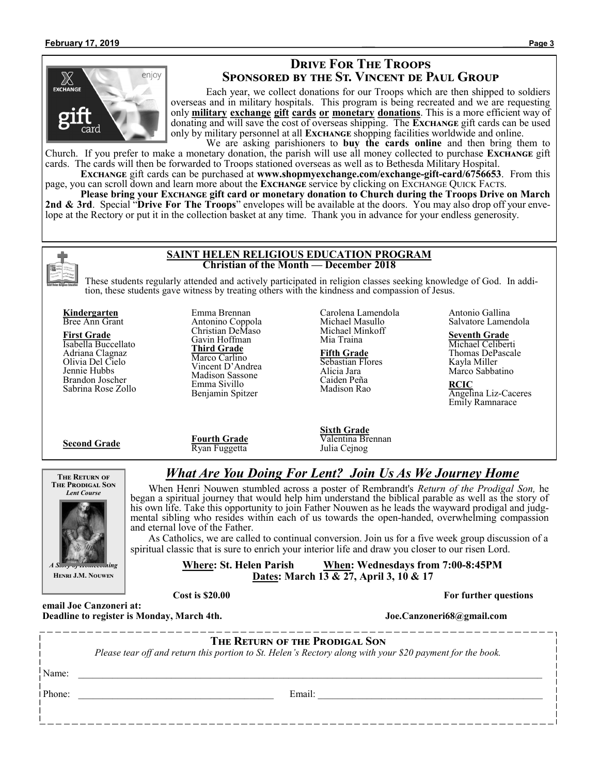

## **Drive For The Troops Sponsored by the St. Vincent de Paul Group**

Each year, we collect donations for our Troops which are then shipped to soldiers overseas and in military hospitals. This program is being recreated and we are requesting only **military exchange gift cards or monetary donations**. This is a more efficient way of donating and will save the cost of overseas shipping. The **Exchange** gift cards can be used only by military personnel at all **Exchange** shopping facilities worldwide and online. We are asking parishioners to **buy the cards online** and then bring them to

Church. If you prefer to make a monetary donation, the parish will use all money collected to purchase **Exchange** gift cards. The cards will then be forwarded to Troops stationed overseas as well as to Bethesda Military Hospital.

**Exchange** gift cards can be purchased at **www.shopmyexchange.com/exchange-gift-card/6756653**. From this page, you can scroll down and learn more about the **Exchange** service by clicking on Exchange Quick Facts.

**Please bring your Exchange gift card or monetary donation to Church during the Troops Drive on March 2nd & 3rd**. Special "**Drive For The Troops**" envelopes will be available at the doors. You may also drop off your envelope at the Rectory or put it in the collection basket at any time. Thank you in advance for your endless generosity.



### **SAINT HELEN RELIGIOUS EDUCATION PROGRAM Christian of the Month — December 2018**

These students regularly attended and actively participated in religion classes seeking knowledge of God. In addition, these students gave witness by treating others with the kindness and compassion of Jesus.

**Kindergarten** Bree Ann Grant

**First Grade** Isabella Buccellato Adriana Clagnaz Olivia Del Cielo Jennie Hubbs Brandon Joscher Sabrina Rose Zollo

**Second Grade**

Emma Brennan Antonino Coppola Christian DeMaso Gavin Hoffman **Third Grade** Marco Carlino Vincent D'Andrea Madison Sassone Emma Sivillo Benjamin Spitzer

Carolena Lamendola Michael Masullo Michael Minkoff Mia Traina

**Fifth Grade** Sebastian Flores Alicia Jara Caiden Peña Madison Rao

Antonio Gallina Salvatore Lamendola

### **Seventh Grade**

Michael Celiberti Thomas DePascale Kayla Miller Marco Sabbatino

**RCIC** Angelina Liz-Caceres Emily Ramnarace

**Fourth Grade** Ryan Fuggetta

**Sixth Grade** Valentina Brennan Julia Cejnog

*What Are You Doing For Lent? Join Us As We Journey Home* When Henri Nouwen stumbled across a poster of Rembrandt's *Return of the Prodigal Son,* he began a spiritual journey that would help him understand the biblical parable as well as the story of his own life. Take this opportunity to join Father Nouwen as he leads the wayward prodigal and judgmental sibling who resides within each of us towards the open-handed, overwhelming compassion





*A Story of Homecoming* **Henri J.M. Nouwen**

spiritual classic that is sure to enrich your interior life and draw you closer to our risen Lord. **Where: St. Helen Parish When: Wednesdays from 7:00-8:45PM Dates: March 13 & 27, April 3, 10 & 17**

As Catholics, we are called to continual conversion. Join us for a five week group discussion of a

**Cost is \$20.00 For further questions** 

and eternal love of the Father.

**email Joe Canzoneri at: Deadline to register is Monday, March 4th.** Joe.Canzoneri68@gmail.com

**The Return of the Prodigal Son**

*Please tear off and return this portion to St. Helen's Rectory along with your \$20 payment for the book.* 

Name:  $\Box$ 

Phone: \_\_\_\_\_\_\_\_\_\_\_\_\_\_\_\_\_\_\_\_\_\_\_\_\_\_\_\_\_\_\_\_\_\_\_\_\_\_\_\_ Email: \_\_\_\_\_\_\_\_\_\_\_\_\_\_\_\_\_\_\_\_\_\_\_\_\_\_\_\_\_\_\_\_\_\_\_\_\_\_\_\_\_\_\_\_\_\_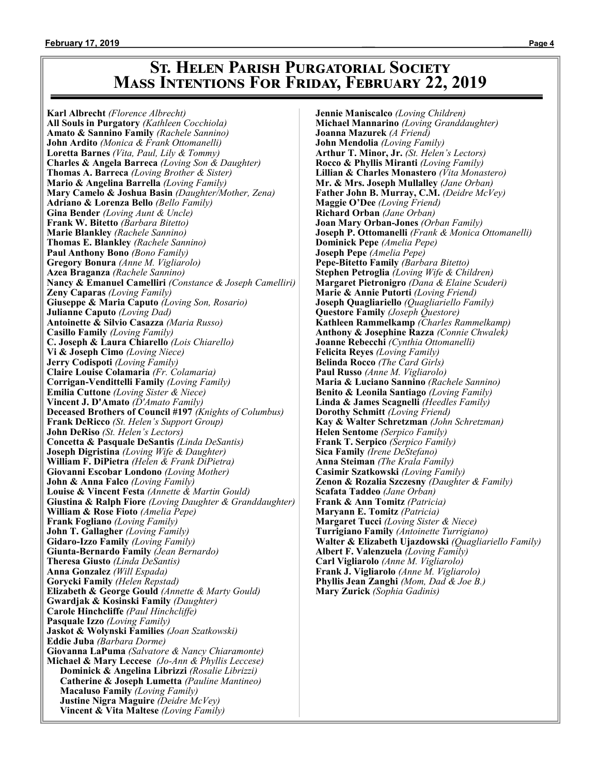# **St. Helen Parish Purgatorial Society Mass Intentions For Friday, February 22, 2019**

**Karl Albrecht** *(Florence Albrecht)* **All Souls in Purgatory** *(Kathleen Cocchiola)* **Amato & Sannino Family** *(Rachele Sannino)* **John Ardito** *(Monica & Frank Ottomanelli)* **Loretta Barnes** *(Vita, Paul, Lily & Tommy)* **Charles & Angela Barreca** *(Loving Son & Daughter)* **Thomas A. Barreca** *(Loving Brother & Sister)* **Mario & Angelina Barrella** *(Loving Family)* **Mary Camelo & Joshua Basin** *(Daughter/Mother, Zena)* **Adriano & Lorenza Bello** *(Bello Family)* **Gina Bender** *(Loving Aunt & Uncle)* **Frank W. Bitetto** *(Barbara Bitetto)* **Marie Blankley** *(Rachele Sannino)* **Thomas E. Blankley** *(Rachele Sannino)* **Paul Anthony Bono** *(Bono Family)* **Gregory Bonura** *(Anne M. Vigliarolo)* **Azea Braganza** *(Rachele Sannino)* **Nancy & Emanuel Camelliri** *(Constance & Joseph Camelliri)* **Zeny Caparas** *(Loving Family)* **Giuseppe & Maria Caputo** *(Loving Son, Rosario)* **Julianne Caputo** *(Loving Dad)* **Antoinette & Silvio Casazza** *(Maria Russo)* **Casillo Family** *(Loving Family)* **C. Joseph & Laura Chiarello** *(Lois Chiarello)* **Vi & Joseph Cimo** *(Loving Niece)* **Jerry Codispoti** *(Loving Family)* **Claire Louise Colamaria** *(Fr. Colamaria)* **Corrigan-Vendittelli Family** *(Loving Family)* **Emilia Cuttone** *(Loving Sister & Niece)* **Vincent J. D'Amato** *(D'Amato Family)* **Deceased Brothers of Council #197** *(Knights of Columbus)* **Frank DeRicco** *(St. Helen's Support Group)* **John DeRiso** *(St. Helen's Lectors)* **Concetta & Pasquale DeSantis** *(Linda DeSantis)* **Joseph Digristina** *(Loving Wife & Daughter)* **William F. DiPietra** *(Helen & Frank DiPietra)* **Giovanni Escobar Londono** *(Loving Mother)* **John & Anna Falco** *(Loving Family)* **Louise & Vincent Festa** *(Annette & Martin Gould)* **Giustina & Ralph Fiore** *(Loving Daughter & Granddaughter)* **William & Rose Fioto** *(Amelia Pepe)* **Frank Fogliano** *(Loving Family)* **John T. Gallagher** *(Loving Family)* **Gidaro-Izzo Family** *(Loving Family)* **Giunta-Bernardo Family** *(Jean Bernardo)* **Theresa Giusto** *(Linda DeSantis)* **Anna Gonzalez** *(Will Espada)* **Gorycki Family** *(Helen Repstad)* **Elizabeth & George Gould** *(Annette & Marty Gould)* **Gwardjak & Kosinski Family** *(Daughter)* **Carole Hinchcliffe** *(Paul Hinchcliffe)* **Pasquale Izzo** *(Loving Family)* **Jaskot & Wolynski Families** *(Joan Szatkowski)* **Eddie Juba** *(Barbara Dorme)* **Giovanna LaPuma** *(Salvatore & Nancy Chiaramonte)* **Michael & Mary Leccese** *(Jo-Ann & Phyllis Leccese)* **Dominick & Angelina Librizzi** *(Rosalie Librizzi)* **Catherine & Joseph Lumetta** *(Pauline Mantineo)* **Macaluso Family** *(Loving Family)* **Justine Nigra Maguire** *(Deidre McVey)* **Vincent & Vita Maltese** *(Loving Family)*

**Jennie Maniscalco** *(Loving Children)* **Michael Mannarino** *(Loving Granddaughter)* **Joanna Mazurek** *(A Friend)* **John Mendolia** *(Loving Family)* **Arthur T. Minor, Jr.** *(St. Helen's Lectors)* **Rocco & Phyllis Miranti** *(Loving Family)* **Lillian & Charles Monastero** *(Vita Monastero)* **Mr. & Mrs. Joseph Mullalley** *(Jane Orban)* **Father John B. Murray, C.M.** *(Deidre McVey)* **Maggie O'Dee** *(Loving Friend)* **Richard Orban** *(Jane Orban)* **Joan Mary Orban-Jones** *(Orban Family)* **Joseph P. Ottomanelli** *(Frank & Monica Ottomanelli)* **Dominick Pepe** *(Amelia Pepe)* **Joseph Pepe** *(Amelia Pepe)* **Pepe-Bitetto Family** *(Barbara Bitetto)* **Stephen Petroglia** *(Loving Wife & Children)* **Margaret Pietronigro** *(Dana & Elaine Scuderi)* **Marie & Annie Putorti** *(Loving Friend)* **Joseph Quagliariello** *(Quagliariello Family)* **Questore Family** *(Joseph Questore)* **Kathleen Rammelkamp** *(Charles Rammelkamp)* **Anthony & Josephine Razza** *(Connie Chwalek)* **Joanne Rebecchi** *(Cynthia Ottomanelli)* **Felicita Reyes** *(Loving Family)* **Belinda Rocco** *(The Card Girls)* **Paul Russo** *(Anne M. Vigliarolo)* **Maria & Luciano Sannino** *(Rachele Sannino)* **Benito & Leonila Santiago** *(Loving Family)* **Linda & James Scagnelli** *(Heedles Family)* **Dorothy Schmitt** *(Loving Friend)* **Kay & Walter Schretzman** *(John Schretzman)* **Helen Sentome** *(Serpico Family)* **Frank T. Serpico** *(Serpico Family)* **Sica Family** *(Irene DeStefano)* **Anna Steiman** *(The Krala Family)* **Casimir Szatkowski** *(Loving Family)* **Zenon & Rozalia Szczesny** *(Daughter & Family)* **Scafata Taddeo** *(Jane Orban)* **Frank & Ann Tomitz** *(Patricia)* **Maryann E. Tomitz** *(Patricia)* **Margaret Tucci** *(Loving Sister & Niece)* **Turrigiano Family** *(Antoinette Turrigiano)* **Walter & Elizabeth Ujazdowski** *(Quagliariello Family)* **Albert F. Valenzuela** *(Loving Family)* **Carl Vigliarolo** *(Anne M. Vigliarolo)* **Frank J. Vigliarolo** *(Anne M. Vigliarolo)* **Phyllis Jean Zanghi** *(Mom, Dad & Joe B.)* **Mary Zurick** *(Sophia Gadinis)*